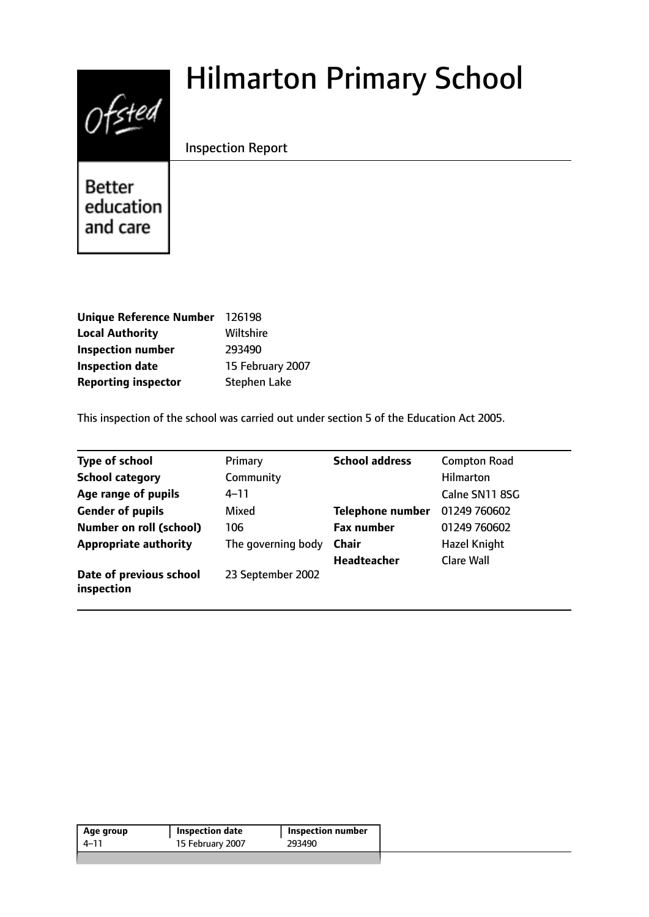# $0$ fsted

# Hilmarton Primary School

Inspection Report

**Better** education and care

| Unique Reference Number 126198 |                     |
|--------------------------------|---------------------|
| <b>Local Authority</b>         | Wiltshire           |
| <b>Inspection number</b>       | 293490              |
| <b>Inspection date</b>         | 15 February 2007    |
| <b>Reporting inspector</b>     | <b>Stephen Lake</b> |

This inspection of the school was carried out under section 5 of the Education Act 2005.

| <b>Type of school</b>                 | Primary            | <b>School address</b>   | <b>Compton Road</b> |
|---------------------------------------|--------------------|-------------------------|---------------------|
| <b>School category</b>                | Community          |                         | <b>Hilmarton</b>    |
| Age range of pupils                   | $4 - 11$           |                         | Calne SN11 8SG      |
| <b>Gender of pupils</b>               | Mixed              | <b>Telephone number</b> | 01249 760602        |
| <b>Number on roll (school)</b>        | 106                | <b>Fax number</b>       | 01249 760602        |
| <b>Appropriate authority</b>          | The governing body | <b>Chair</b>            | <b>Hazel Knight</b> |
|                                       |                    | Headteacher             | <b>Clare Wall</b>   |
| Date of previous school<br>inspection | 23 September 2002  |                         |                     |

|      |                  | <b>Inspection number</b> |
|------|------------------|--------------------------|
| 4–11 | 15 February 2007 | 293490                   |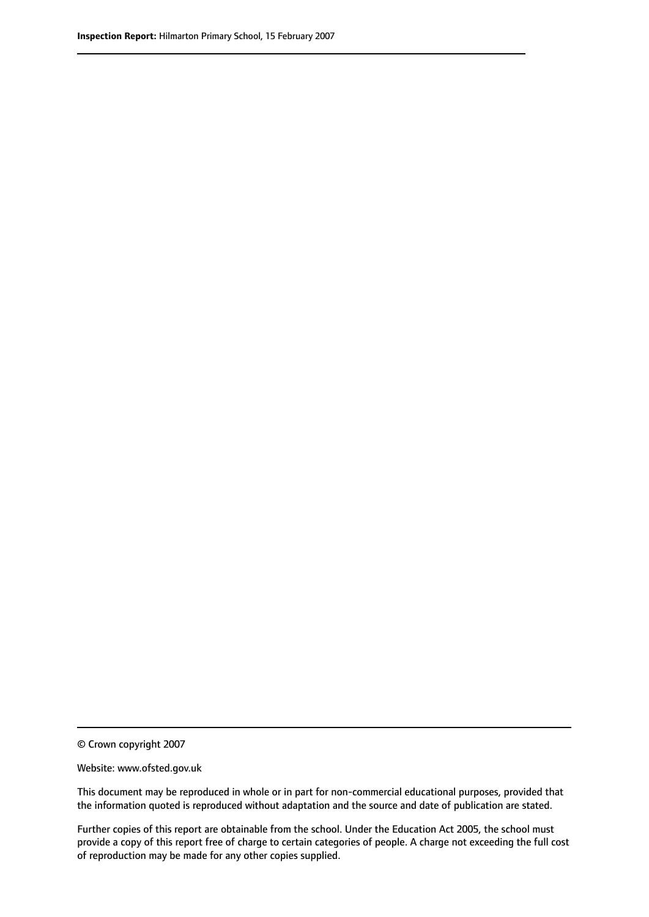© Crown copyright 2007

Website: www.ofsted.gov.uk

This document may be reproduced in whole or in part for non-commercial educational purposes, provided that the information quoted is reproduced without adaptation and the source and date of publication are stated.

Further copies of this report are obtainable from the school. Under the Education Act 2005, the school must provide a copy of this report free of charge to certain categories of people. A charge not exceeding the full cost of reproduction may be made for any other copies supplied.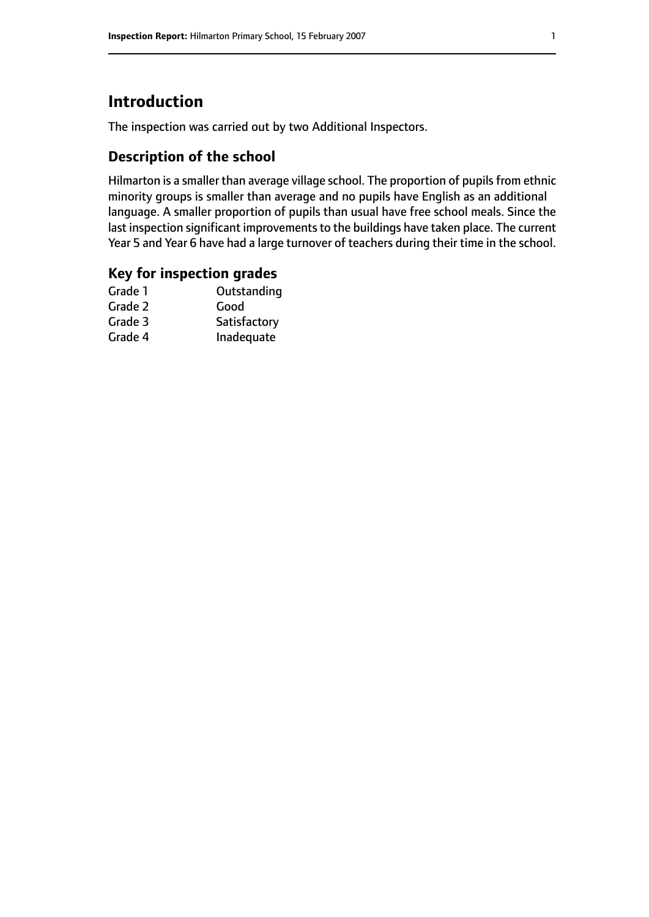# **Introduction**

The inspection was carried out by two Additional Inspectors.

## **Description of the school**

Hilmarton is a smaller than average village school. The proportion of pupils from ethnic minority groups is smaller than average and no pupils have English as an additional language. A smaller proportion of pupils than usual have free school meals. Since the last inspection significant improvements to the buildings have taken place. The current Year 5 and Year 6 have had a large turnover of teachers during their time in the school.

#### **Key for inspection grades**

| Good         |
|--------------|
|              |
| Satisfactory |
| Inadequate   |
|              |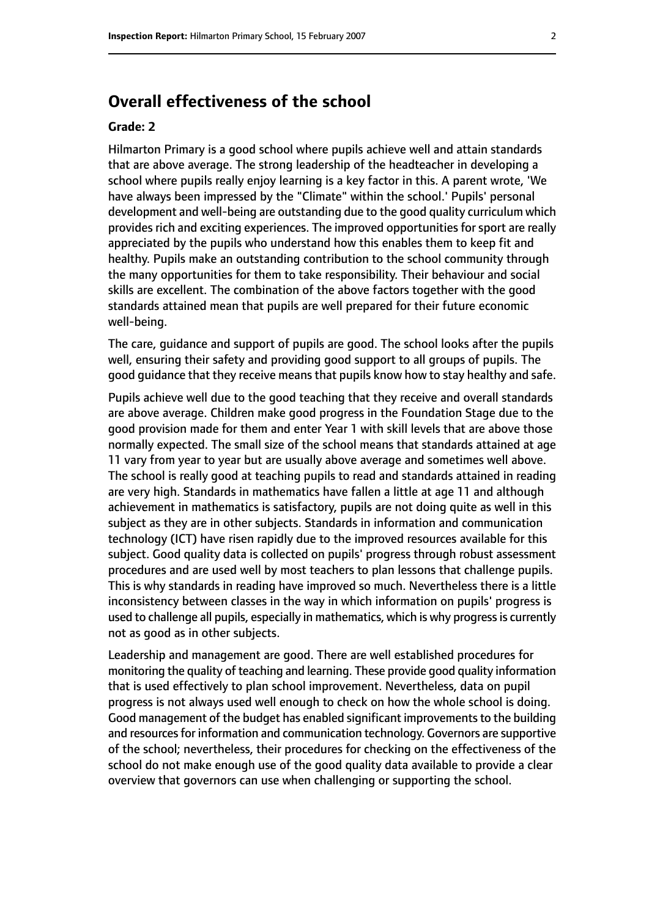# **Overall effectiveness of the school**

#### **Grade: 2**

Hilmarton Primary is a good school where pupils achieve well and attain standards that are above average. The strong leadership of the headteacher in developing a school where pupils really enjoy learning is a key factor in this. A parent wrote, 'We have always been impressed by the "Climate" within the school.' Pupils' personal development and well-being are outstanding due to the good quality curriculum which provides rich and exciting experiences. The improved opportunities for sport are really appreciated by the pupils who understand how this enables them to keep fit and healthy. Pupils make an outstanding contribution to the school community through the many opportunities for them to take responsibility. Their behaviour and social skills are excellent. The combination of the above factors together with the good standards attained mean that pupils are well prepared for their future economic well-being.

The care, guidance and support of pupils are good. The school looks after the pupils well, ensuring their safety and providing good support to all groups of pupils. The good guidance that they receive means that pupils know how to stay healthy and safe.

Pupils achieve well due to the good teaching that they receive and overall standards are above average. Children make good progress in the Foundation Stage due to the good provision made for them and enter Year 1 with skill levels that are above those normally expected. The small size of the school means that standards attained at age 11 vary from year to year but are usually above average and sometimes well above. The school is really good at teaching pupils to read and standards attained in reading are very high. Standards in mathematics have fallen a little at age 11 and although achievement in mathematics is satisfactory, pupils are not doing quite as well in this subject as they are in other subjects. Standards in information and communication technology (ICT) have risen rapidly due to the improved resources available for this subject. Good quality data is collected on pupils' progress through robust assessment procedures and are used well by most teachers to plan lessons that challenge pupils. This is why standards in reading have improved so much. Nevertheless there is a little inconsistency between classes in the way in which information on pupils' progress is used to challenge all pupils, especially in mathematics, which is why progress is currently not as good as in other subjects.

Leadership and management are good. There are well established procedures for monitoring the quality of teaching and learning. These provide good quality information that is used effectively to plan school improvement. Nevertheless, data on pupil progress is not always used well enough to check on how the whole school is doing. Good management of the budget has enabled significant improvements to the building and resources for information and communication technology. Governors are supportive of the school; nevertheless, their procedures for checking on the effectiveness of the school do not make enough use of the good quality data available to provide a clear overview that governors can use when challenging or supporting the school.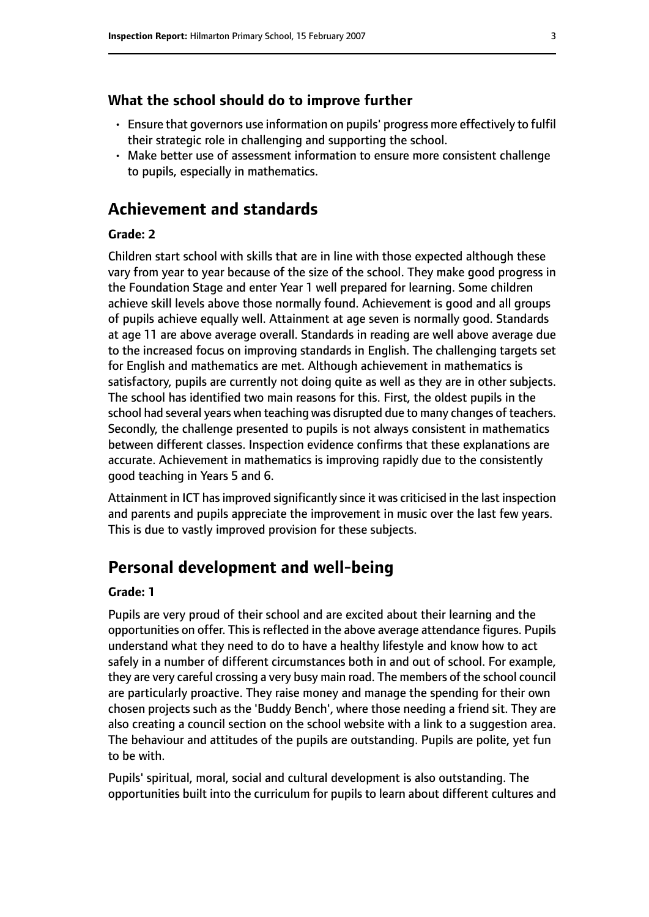#### **What the school should do to improve further**

- Ensure that governors use information on pupils' progress more effectively to fulfil their strategic role in challenging and supporting the school.
- Make better use of assessment information to ensure more consistent challenge to pupils, especially in mathematics.

# **Achievement and standards**

#### **Grade: 2**

Children start school with skills that are in line with those expected although these vary from year to year because of the size of the school. They make good progress in the Foundation Stage and enter Year 1 well prepared for learning. Some children achieve skill levels above those normally found. Achievement is good and all groups of pupils achieve equally well. Attainment at age seven is normally good. Standards at age 11 are above average overall. Standards in reading are well above average due to the increased focus on improving standards in English. The challenging targets set for English and mathematics are met. Although achievement in mathematics is satisfactory, pupils are currently not doing quite as well as they are in other subjects. The school has identified two main reasons for this. First, the oldest pupils in the school had several years when teaching was disrupted due to many changes of teachers. Secondly, the challenge presented to pupils is not always consistent in mathematics between different classes. Inspection evidence confirms that these explanations are accurate. Achievement in mathematics is improving rapidly due to the consistently good teaching in Years 5 and 6.

Attainment in ICT hasimproved significantly since it was criticised in the last inspection and parents and pupils appreciate the improvement in music over the last few years. This is due to vastly improved provision for these subjects.

# **Personal development and well-being**

#### **Grade: 1**

Pupils are very proud of their school and are excited about their learning and the opportunities on offer. This is reflected in the above average attendance figures. Pupils understand what they need to do to have a healthy lifestyle and know how to act safely in a number of different circumstances both in and out of school. For example, they are very careful crossing a very busy main road. The members of the school council are particularly proactive. They raise money and manage the spending for their own chosen projects such as the 'Buddy Bench', where those needing a friend sit. They are also creating a council section on the school website with a link to a suggestion area. The behaviour and attitudes of the pupils are outstanding. Pupils are polite, yet fun to be with.

Pupils' spiritual, moral, social and cultural development is also outstanding. The opportunities built into the curriculum for pupils to learn about different cultures and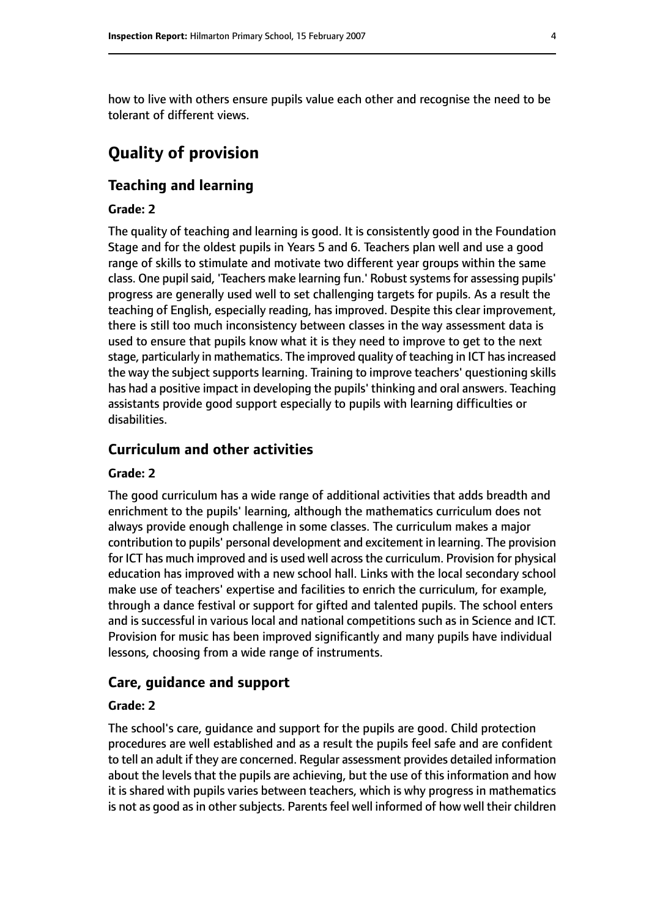how to live with others ensure pupils value each other and recognise the need to be tolerant of different views.

# **Quality of provision**

#### **Teaching and learning**

#### **Grade: 2**

The quality of teaching and learning is good. It is consistently good in the Foundation Stage and for the oldest pupils in Years 5 and 6. Teachers plan well and use a good range of skills to stimulate and motivate two different year groups within the same class. One pupil said, 'Teachers make learning fun.' Robust systems for assessing pupils' progress are generally used well to set challenging targets for pupils. As a result the teaching of English, especially reading, has improved. Despite this clear improvement, there is still too much inconsistency between classes in the way assessment data is used to ensure that pupils know what it is they need to improve to get to the next stage, particularly in mathematics. The improved quality of teaching in ICT has increased the way the subject supports learning. Training to improve teachers' questioning skills has had a positive impact in developing the pupils' thinking and oral answers. Teaching assistants provide good support especially to pupils with learning difficulties or disabilities.

#### **Curriculum and other activities**

#### **Grade: 2**

The good curriculum has a wide range of additional activities that adds breadth and enrichment to the pupils' learning, although the mathematics curriculum does not always provide enough challenge in some classes. The curriculum makes a major contribution to pupils' personal development and excitement in learning. The provision for ICT has much improved and is used well across the curriculum. Provision for physical education has improved with a new school hall. Links with the local secondary school make use of teachers' expertise and facilities to enrich the curriculum, for example, through a dance festival or support for gifted and talented pupils. The school enters and is successful in various local and national competitions such as in Science and ICT. Provision for music has been improved significantly and many pupils have individual lessons, choosing from a wide range of instruments.

#### **Care, guidance and support**

#### **Grade: 2**

The school's care, guidance and support for the pupils are good. Child protection procedures are well established and as a result the pupils feel safe and are confident to tell an adult if they are concerned. Regular assessment provides detailed information about the levels that the pupils are achieving, but the use of this information and how it is shared with pupils varies between teachers, which is why progress in mathematics is not as good as in other subjects. Parents feel well informed of how well their children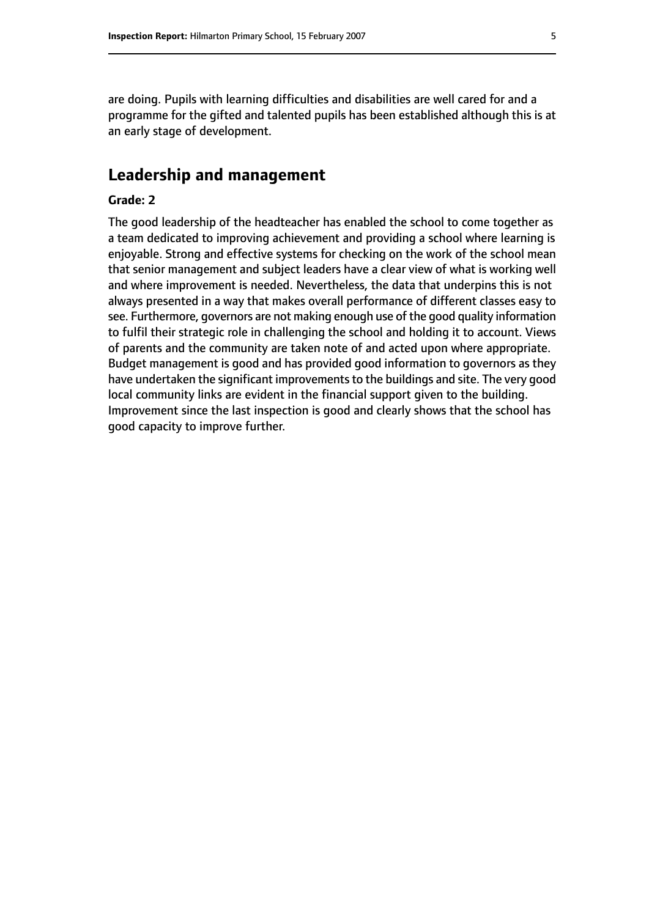are doing. Pupils with learning difficulties and disabilities are well cared for and a programme for the gifted and talented pupils has been established although this is at an early stage of development.

# **Leadership and management**

#### **Grade: 2**

The good leadership of the headteacher has enabled the school to come together as a team dedicated to improving achievement and providing a school where learning is enjoyable. Strong and effective systems for checking on the work of the school mean that senior management and subject leaders have a clear view of what is working well and where improvement is needed. Nevertheless, the data that underpins this is not always presented in a way that makes overall performance of different classes easy to see. Furthermore, governors are not making enough use of the good quality information to fulfil their strategic role in challenging the school and holding it to account. Views of parents and the community are taken note of and acted upon where appropriate. Budget management is good and has provided good information to governors as they have undertaken the significant improvements to the buildings and site. The very good local community links are evident in the financial support given to the building. Improvement since the last inspection is good and clearly shows that the school has good capacity to improve further.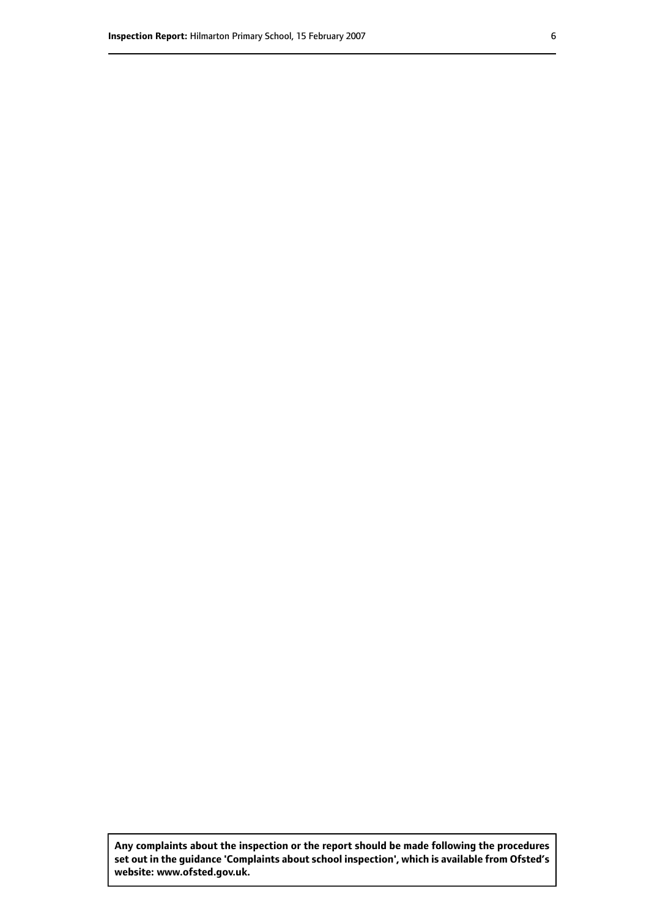**Any complaints about the inspection or the report should be made following the procedures set out inthe guidance 'Complaints about school inspection', whichis available from Ofsted's website: www.ofsted.gov.uk.**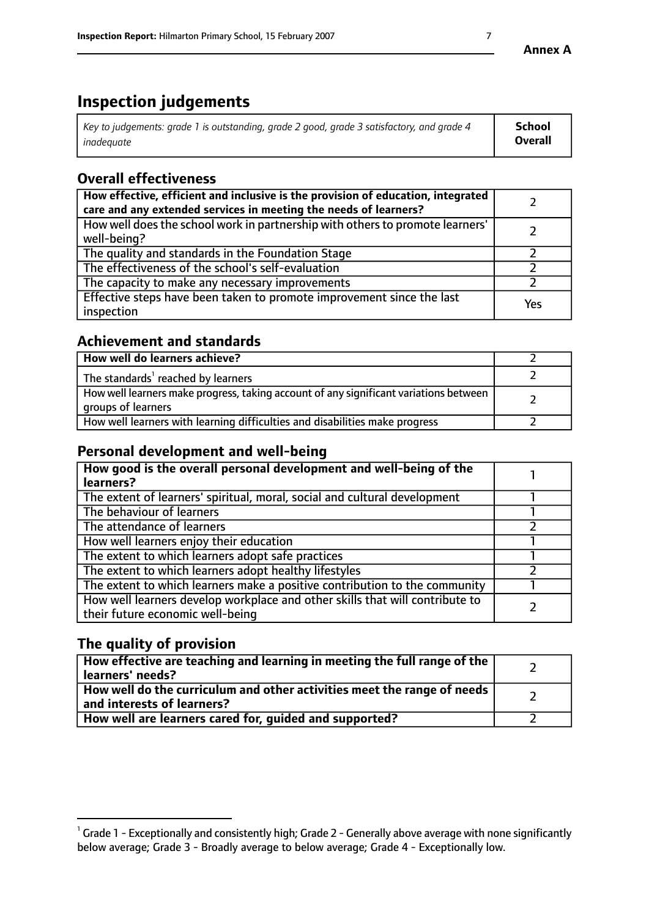# **Inspection judgements**

| $\vert$ Key to judgements: grade 1 is outstanding, grade 2 good, grade 3 satisfactory, and grade 4 | School         |
|----------------------------------------------------------------------------------------------------|----------------|
| inadeauate                                                                                         | <b>Overall</b> |

# **Overall effectiveness**

| How effective, efficient and inclusive is the provision of education, integrated<br>care and any extended services in meeting the needs of learners? |     |
|------------------------------------------------------------------------------------------------------------------------------------------------------|-----|
| How well does the school work in partnership with others to promote learners'<br>well-being?                                                         |     |
| The quality and standards in the Foundation Stage                                                                                                    |     |
| The effectiveness of the school's self-evaluation                                                                                                    |     |
| The capacity to make any necessary improvements                                                                                                      |     |
| Effective steps have been taken to promote improvement since the last<br>inspection                                                                  | Yes |

## **Achievement and standards**

| How well do learners achieve?                                                                               |  |
|-------------------------------------------------------------------------------------------------------------|--|
| The standards <sup>1</sup> reached by learners                                                              |  |
| How well learners make progress, taking account of any significant variations between<br>groups of learners |  |
| How well learners with learning difficulties and disabilities make progress                                 |  |

# **Personal development and well-being**

| How good is the overall personal development and well-being of the<br>learners?                                  |  |
|------------------------------------------------------------------------------------------------------------------|--|
| The extent of learners' spiritual, moral, social and cultural development                                        |  |
| The behaviour of learners                                                                                        |  |
| The attendance of learners                                                                                       |  |
| How well learners enjoy their education                                                                          |  |
| The extent to which learners adopt safe practices                                                                |  |
| The extent to which learners adopt healthy lifestyles                                                            |  |
| The extent to which learners make a positive contribution to the community                                       |  |
| How well learners develop workplace and other skills that will contribute to<br>their future economic well-being |  |

# **The quality of provision**

| How effective are teaching and learning in meeting the full range of the<br>learners' needs?          |  |
|-------------------------------------------------------------------------------------------------------|--|
| How well do the curriculum and other activities meet the range of needs<br>and interests of learners? |  |
| How well are learners cared for, guided and supported?                                                |  |

 $^1$  Grade 1 - Exceptionally and consistently high; Grade 2 - Generally above average with none significantly below average; Grade 3 - Broadly average to below average; Grade 4 - Exceptionally low.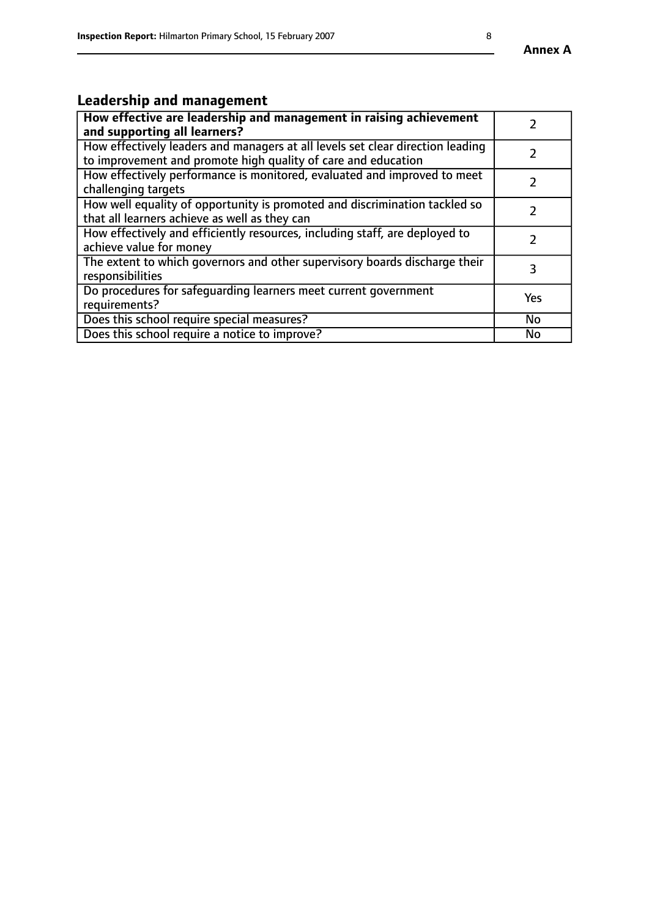# **Leadership and management**

| How effective are leadership and management in raising achievement<br>and supporting all learners?                                              |           |
|-------------------------------------------------------------------------------------------------------------------------------------------------|-----------|
| How effectively leaders and managers at all levels set clear direction leading<br>to improvement and promote high quality of care and education |           |
| How effectively performance is monitored, evaluated and improved to meet<br>challenging targets                                                 |           |
| How well equality of opportunity is promoted and discrimination tackled so<br>that all learners achieve as well as they can                     |           |
| How effectively and efficiently resources, including staff, are deployed to<br>achieve value for money                                          |           |
| The extent to which governors and other supervisory boards discharge their<br>responsibilities                                                  | 3         |
| Do procedures for safeguarding learners meet current government<br>requirements?                                                                | Yes       |
| Does this school require special measures?                                                                                                      | <b>No</b> |
| Does this school require a notice to improve?                                                                                                   | No        |